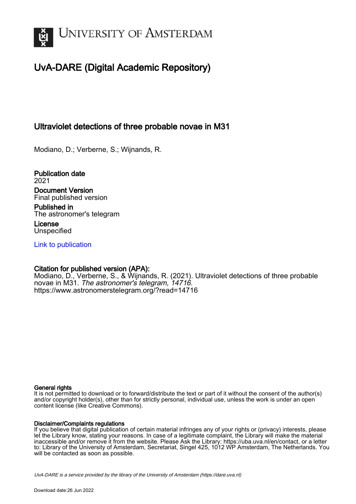

# UvA-DARE (Digital Academic Repository)

## Ultraviolet detections of three probable novae in M31

Modiano, D.; Verberne, S.; Wijnands, R.

Publication date 2021 Document Version Final published version

Published in The astronomer's telegram

License **Unspecified** 

[Link to publication](https://dare.uva.nl/personal/pure/en/publications/ultraviolet-detections-of-three-probable-novae-in-m31(27f96558-802d-4b56-bfc9-dae1f1385141).html)

## Citation for published version (APA):

Modiano, D., Verberne, S., & Wijnands, R. (2021). Ultraviolet detections of three probable novae in M31. The astronomer's telegram, 14716. <https://www.astronomerstelegram.org/?read=14716>

#### General rights

It is not permitted to download or to forward/distribute the text or part of it without the consent of the author(s) and/or copyright holder(s), other than for strictly personal, individual use, unless the work is under an open content license (like Creative Commons).

#### Disclaimer/Complaints regulations

If you believe that digital publication of certain material infringes any of your rights or (privacy) interests, please let the Library know, stating your reasons. In case of a legitimate complaint, the Library will make the material inaccessible and/or remove it from the website. Please Ask the Library: https://uba.uva.nl/en/contact, or a letter to: Library of the University of Amsterdam, Secretariat, Singel 425, 1012 WP Amsterdam, The Netherlands. You will be contacted as soon as possible.

UvA-DARE is a service provided by the library of the University of Amsterdam (http*s*://dare.uva.nl)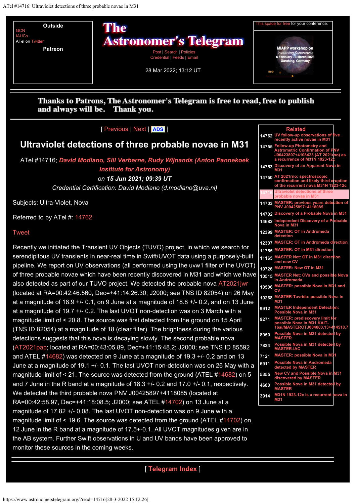<span id="page-1-0"></span>

## Thanks to Patrons, The Astronomer's Telegram is free to read, free to publish and always will be. Thank you.

## [ [Previous](https://www.astronomerstelegram.org/?read=14715) | [Next](https://www.astronomerstelegram.org/?read=14717) | **[ADS](https://ui.adsabs.harvard.edu/search/q=bibstem%3A%22ATel14716%22)** ]

## **Ultraviolet detections of three probable novae in M31**

ATel #14716; *[David Modiano, Sill Verberne, Rudy Wijnands \(Anton Pannekoek](mailto:d.modiano@uva.nl) [Institute for Astronomy\)](mailto:d.modiano@uva.nl) on 15 Jun 2021; 09:39 UT*

*Credential Certification: David Modiano (d.modiano@uva.nl)*

Subjects: Ultra-Violet, Nova

Referred to by ATel #: [14762](https://www.astronomerstelegram.org/?read=14762)

#### [Tweet](https://twitter.com/share?ref_src=twsrc%5Etfw)

Recently we initiated the Transient UV Objects (TUVO) project, in which we search for serendipitous UV transients in near-real time in Swift/UVOT data using a purposely-built pipeline. We report on UV observations (all performed using the uvw1 filter of the UVOT) of three probable novae which have been recently discovered in M31 and which we have also detected as part of our TUVO project. We detected the probable nova [AT2021jwr](https://wis-tns.weizmann.ac.il/object/2021jwr) (located at RA=00:42:46.560, Dec=+41:14:26.30; J2000; see TNS ID 82054) on 26 May at a magnitude of  $18.9 +/- 0.1$ , on 9 June at a magnitude of  $18.8 +/- 0.2$ , and on 13 June at a magnitude of 19.7 +/- 0.2. The last UVOT non-detection was on 3 March with a magnitude limit of < 20.8. The source was first detected from the ground on 15 April (TNS ID 82054) at a magnitude of 18 (clear filter). The brightness during the various detections suggests that this nova is decaying slowly. The second probable nova [\(AT2021pap](https://wis-tns.weizmann.ac.il/object/2021pap); located at RA=00:43:05.89, Dec=+41:15:48.2; J2000; see TNS ID 85592 and ATEL #[14682](https://www.astronomerstelegram.org/?read=14682)) was detected on 9 June at a magnitude of 19.3 +/- 0.2 and on 13 June at a magnitude of 19.1 +/- 0.1. The last UVOT non-detection was on 26 May with a magnitude limit of  $\leq$  21. The source was detected from the ground (ATEL [#14682](https://www.astronomerstelegram.org/?read=14682)) on 5 and 7 June in the R band at a magnitude of 18.3 +/- 0.2 and 17.0 +/- 0.1, respectively. We detected the third probable nova PNV J00425897+4118085 (located at RA=00:42:58.97, Dec=+41:18:08.5; J2000; see ATEL [#14702](https://www.astronomerstelegram.org/?read=14702)) on 13 June at a magnitude of 17.82 +/- 0.08. The last UVOT non-detection was on 9 June with a magnitude limit of  $\leq$  19.6. The source was detected from the ground (ATEL #[14702](https://www.astronomerstelegram.org/?read=14702)) on 12 June in the R band at a magnitude of 17.5+-0.1. All UVOT magnitudes given are in the AB system. Further Swift observations in U and UV bands have been approved to monitor these sources in the coming weeks.

#### **[Related](#page-1-0) 14762 UV fo [recently active novae in M31](https://www.astronomerstelegram.org/?read=14762) 14755 [Follow-up Photometry and](https://www.astronomerstelegram.org/?read=14755) [Astrometric Confirmation of PNV](https://www.astronomerstelegram.org/?read=14755) [J00423807+4108423 \(AT 2021rno\) as](https://www.astronomerstelegram.org/?read=14755) [a recurrence of M31N 1923-12c](https://www.astronomerstelegram.org/?read=14755) 14753 Discovery of an Apparent No [M31](https://www.astronomerstelegram.org/?read=14753) 14750 AT 2021rno: sp [confirmation and likely third eruption](https://www.astronomerstelegram.org/?read=14750)** of the recurrent nova **14716 [Ultraviolet detections of three](#page-1-0) [probable novae in M31](#page-1-0) 14703 [MASTER: previous years detection of](https://www.astronomerstelegram.org/?read=14703) [PNV J00425897+4118085](https://www.astronomerstelegram.org/?read=14703) 14702 [Discovery of a Probable Nova in M31](https://www.astronomerstelegram.org/?read=14702) 14682 Independent Discovery of a P [Nova in M31](https://www.astronomerstelegram.org/?read=14682) 12399 [MASTER: OT in Andromeda](https://www.astronomerstelegram.org/?read=12399) [detection](https://www.astronomerstelegram.org/?read=12399) 12307 MASTER: OT in Androme 11755 [MASTER: OT in M31 direction](https://www.astronomerstelegram.org/?read=11755)al 11165 [MASTER Net: OT in M31 direction](https://www.astronomerstelegram.org/?read=11165) [and new CV](https://www.astronomerstelegram.org/?read=11165) 10726 [MASTER: New OT in M31](https://www.astronomerstelegram.org/?read=10726) 10515 [MASTER Net: CVs and possible Nova](https://www.astronomerstelegram.org/?read=10515) [in Andromeda](https://www.astronomerstelegram.org/?read=10515) 10506 [MASTER: possible Nova in M31 and](https://www.astronomerstelegram.org/?read=10506) [CV](https://www.astronomerstelegram.org/?read=10506) 10268 [MASTER-Tavrida: possible Nova in](https://www.astronomerstelegram.org/?read=10268) [M31](https://www.astronomerstelegram.org/?read=10268) 9912 [MASTER Independent Detection:](https://www.astronomerstelegram.org/?read=9912) [Possible Nova in M31](https://www.astronomerstelegram.org/?read=9912) 9271 [MASTER: prediscovery limit for](https://www.astronomerstelegram.org/?read=9271) [possible Nova in M31 KAIT-](https://www.astronomerstelegram.org/?read=9271)4518. 8950 [Possible Nova in M31 detected by](https://www.astronomerstelegram.org/?read=8950) [MASTER](https://www.astronomerstelegram.org/?read=8950) 7834 [Possible Nova in M31 detected by](https://www.astronomerstelegram.org/?read=7834) [MASTER-IAC](https://www.astronomerstelegram.org/?read=7834) 7121 MASTER: possible Nova in M 6911** Possible Nova in Andr **cted by 5355 [New CV and Possible Nova in M31](https://www.astronomerstelegram.org/?read=5355) [discovered by MASTER](https://www.astronomerstelegram.org/?read=5355) 4680 [Possible Nova in M31 detected by](https://www.astronomerstelegram.org/?read=4680) [MASTER](https://www.astronomerstelegram.org/?read=4680) 3914 [M31N 1923-12c is a recurrent nova in](https://www.astronomerstelegram.org/?read=3914) [M31](https://www.astronomerstelegram.org/?read=3914)**

## [ **[Telegram Index](https://www.astronomerstelegram.org/)** ]